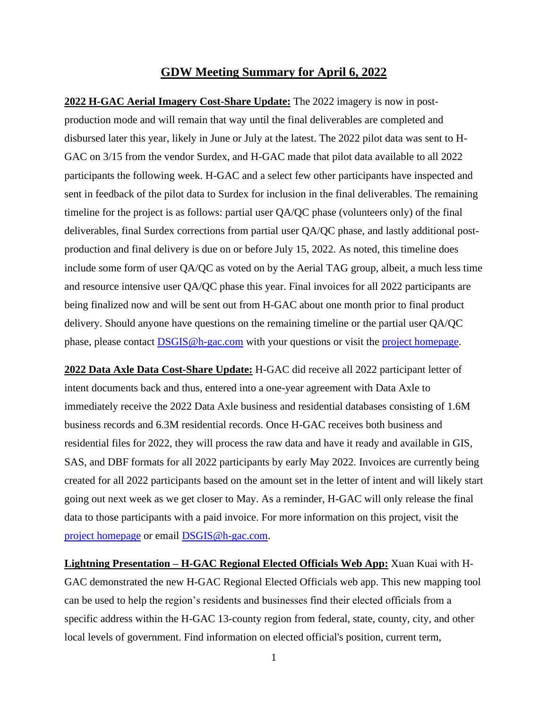## **GDW Meeting Summary for April 6, 2022**

**2022 H-GAC Aerial Imagery Cost-Share Update:** The 2022 imagery is now in postproduction mode and will remain that way until the final deliverables are completed and disbursed later this year, likely in June or July at the latest. The 2022 pilot data was sent to H-GAC on 3/15 from the vendor Surdex, and H-GAC made that pilot data available to all 2022 participants the following week. H-GAC and a select few other participants have inspected and sent in feedback of the pilot data to Surdex for inclusion in the final deliverables. The remaining timeline for the project is as follows: partial user QA/QC phase (volunteers only) of the final deliverables, final Surdex corrections from partial user QA/QC phase, and lastly additional postproduction and final delivery is due on or before July 15, 2022. As noted, this timeline does include some form of user QA/QC as voted on by the Aerial TAG group, albeit, a much less time and resource intensive user QA/QC phase this year. Final invoices for all 2022 participants are being finalized now and will be sent out from H-GAC about one month prior to final product delivery. Should anyone have questions on the remaining timeline or the partial user QA/QC phase, please contact [DSGIS@h-gac.com](mailto:DSGIS@h-gac.com) with your questions or visit the [project](https://www.h-gac.com/aerial-imagery-cost-share) [homepage.](https://www.h-gac.com/aerial-imagery-cost-share/)

**2022 Data Axle Data Cost-Share Update:** H-GAC did receive all 2022 participant letter of intent documents back and thus, entered into a one-year agreement with Data Axle to immediately receive the 2022 Data Axle business and residential databases consisting of 1.6M business records and 6.3M residential records. Once H-GAC receives both business and residential files for 2022, they will process the raw data and have it ready and available in GIS, SAS, and DBF formats for all 2022 participants by early May 2022. Invoices are currently being created for all 2022 participants based on the amount set in the letter of intent and will likely start going out next week as we get closer to May. As a reminder, H-GAC will only release the final data to those participants with a paid invoice. For more information on this project, visit the [project homepage](mailto:project%20homepage) or email [DSGIS@h-gac.com.](mailto:DSGIS@h-gac.com)

**Lightning Presentation – H-GAC Regional Elected Officials Web App:** Xuan Kuai with H-GAC demonstrated the new H-GAC Regional Elected Officials web app. This new mapping tool can be used to help the region's residents and businesses find their elected officials from a specific address within the H-GAC 13-county region from federal, state, county, city, and other local levels of government. Find information on elected official's position, current term,

1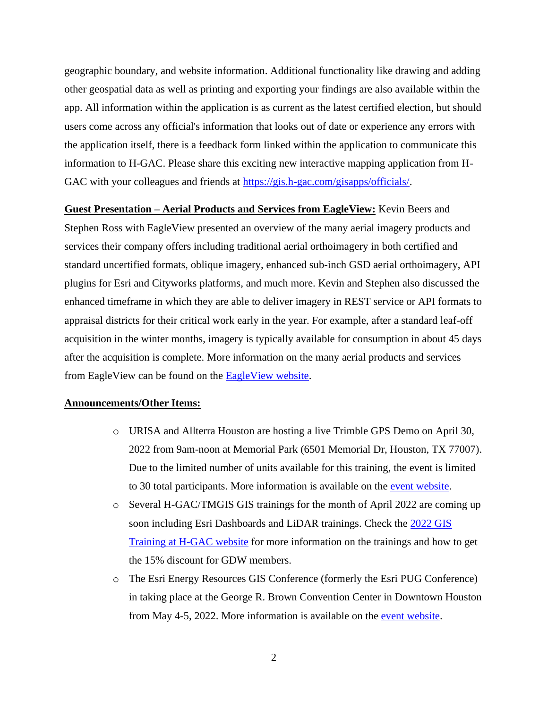geographic boundary, and website information. Additional functionality like drawing and adding other geospatial data as well as printing and exporting your findings are also available within the app. All information within the application is as current as the latest certified election, but should users come across any official's information that looks out of date or experience any errors with the application itself, there is a feedback form linked within the application to communicate this information to H-GAC. Please share this exciting new interactive mapping application from H-GAC with your colleagues and friends at [https://gis.h-gac.com/gisapps/officials/.](https://gis.h-gac.com/gisapps/officials/)

**Guest Presentation – Aerial Products and Services from EagleView:** Kevin Beers and Stephen Ross with EagleView presented an overview of the many aerial imagery products and services their company offers including traditional aerial orthoimagery in both certified and standard uncertified formats, oblique imagery, enhanced sub-inch GSD aerial orthoimagery, API plugins for Esri and Cityworks platforms, and much more. Kevin and Stephen also discussed the enhanced timeframe in which they are able to deliver imagery in REST service or API formats to appraisal districts for their critical work early in the year. For example, after a standard leaf-off acquisition in the winter months, imagery is typically available for consumption in about 45 days after the acquisition is complete. More information on the many aerial products and services from EagleView can be found on the **EagleView website**.

## **Announcements/Other Items:**

- o URISA and Allterra Houston are hosting a live Trimble GPS Demo on April 30, 2022 from 9am-noon at Memorial Park (6501 Memorial Dr, Houston, TX 77007). Due to the limited number of units available for this training, the event is limited to 30 total participants. More information is available on the [event website.](https://www.urisatexas.org/event-4761726)
- o Several H-GAC/TMGIS GIS trainings for the month of April 2022 are coming up soon including Esri Dashboards and LiDAR trainings. Check the [2022 GIS](https://www.h-gac.com/geographic-data-workgroup/gis-training-at-hgac)  [Training at H-GAC](https://www.h-gac.com/geographic-data-workgroup/gis-training-at-hgac) website for more information on the trainings and how to get the 15% discount for GDW members.
- o The Esri Energy Resources GIS Conference (formerly the Esri PUG Conference) in taking place at the George R. Brown Convention Center in Downtown Houston from May 4-5, 2022. More information is available on the [event website.](https://www.esri.com/en-us/about/events/esri-energy-resources-gis-conference/overview)